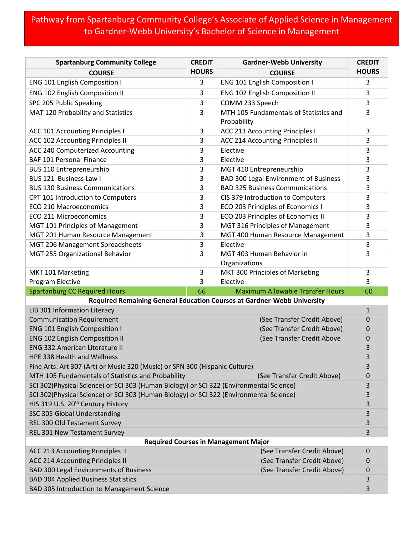## Pathway from Spartanburg Community College's Associate of Applied Science in Management to Gardner-Webb University's Bachelor of Science in Management

| <b>Spartanburg Community College</b>                                                        | <b>CREDIT</b> | <b>Gardner-Webb University</b>                                          | <b>CREDIT</b> |
|---------------------------------------------------------------------------------------------|---------------|-------------------------------------------------------------------------|---------------|
| <b>COURSE</b>                                                                               | <b>HOURS</b>  | <b>COURSE</b>                                                           | <b>HOURS</b>  |
| <b>ENG 101 English Composition I</b>                                                        | 3             | ENG 101 English Composition I                                           | 3             |
| <b>ENG 102 English Composition II</b>                                                       | 3             | <b>ENG 102 English Composition II</b>                                   | 3             |
| SPC 205 Public Speaking                                                                     | 3             | COMM 233 Speech                                                         | 3             |
| MAT 120 Probability and Statistics                                                          | 3             | MTH 105 Fundamentals of Statistics and                                  | 3             |
|                                                                                             |               | Probability                                                             |               |
| <b>ACC 101 Accounting Principles I</b>                                                      | 3             | <b>ACC 213 Accounting Principles I</b>                                  | 3             |
| ACC 102 Accounting Principles II                                                            | 3             | ACC 214 Accounting Principles II                                        | 3             |
| ACC 240 Computerized Accounting                                                             | 3             | Elective                                                                | 3             |
| <b>BAF 101 Personal Finance</b>                                                             | 3             | Elective                                                                | 3             |
| <b>BUS 110 Entrepreneurship</b>                                                             | 3             | MGT 410 Entrepreneurship                                                | 3             |
| BUS 121 Business Law I                                                                      | 3             | <b>BAD 300 Legal Environment of Business</b>                            | 3             |
| <b>BUS 130 Business Communications</b>                                                      | 3             | <b>BAD 325 Business Communications</b>                                  | 3             |
| CPT 101 Introduction to Computers                                                           | 3             | CIS 379 Introduction to Computers                                       | 3             |
| <b>ECO 210 Macroeconomics</b>                                                               | 3             | ECO 203 Principles of Economics I                                       | 3             |
| <b>ECO 211 Microeconomics</b>                                                               | 3             | ECO 203 Principles of Economics II                                      | 3             |
| MGT 101 Principles of Management                                                            | 3             | MGT 316 Principles of Management                                        | 3             |
| MGT 201 Human Resource Management                                                           | 3             | MGT 400 Human Resource Management                                       | 3             |
| MGT 206 Management Spreadsheets                                                             | 3             | Elective                                                                | 3             |
| MGT 255 Organizational Behavior                                                             | 3             | MGT 403 Human Behavior in                                               | 3             |
|                                                                                             |               | Organizations                                                           |               |
|                                                                                             |               | MKT 300 Principles of Marketing                                         | 3             |
| MKT 101 Marketing                                                                           | 3             |                                                                         |               |
| Program Elective                                                                            | 3             | Elective                                                                | 3             |
| <b>Spartanburg CC Required Hours</b>                                                        | 66            | <b>Maximum Allowable Transfer Hours</b>                                 | 60            |
|                                                                                             |               | Required Remaining General Education Courses at Gardner-Webb University |               |
| LIB 301 Information Literacy                                                                |               |                                                                         | $\mathbf{1}$  |
| <b>Communication Requirement</b>                                                            |               | (See Transfer Credit Above)                                             | 0             |
| <b>ENG 101 English Composition I</b>                                                        |               | (See Transfer Credit Above)                                             | 0             |
| <b>ENG 102 English Composition II</b>                                                       |               | (See Transfer Credit Above                                              | 0             |
| <b>ENG 332 American Literature II</b>                                                       |               |                                                                         | 3             |
| <b>HPE 338 Health and Wellness</b>                                                          |               |                                                                         | 3             |
| Fine Arts: Art 307 (Art) or Music 320 (Music) or SPN 300 (Hispanic Culture)                 |               |                                                                         | 3             |
| MTH 105 Fundamentals of Statistics and Probability                                          |               | (See Transfer Credit Above)                                             | 0             |
| SCI 302(Physical Science) or SCI 303 (Human Biology) or SCI 322 (Environmental Science)     |               |                                                                         | 3             |
| SCI 302(Physical Science) or SCI 303 (Human Biology) or SCI 322 (Environmental Science)     |               |                                                                         | 3             |
| HIS 319 U.S. 20 <sup>th</sup> Century History                                               |               |                                                                         | 3             |
| SSC 305 Global Understanding                                                                |               |                                                                         | 3             |
| REL 300 Old Testament Survey                                                                |               |                                                                         | 3             |
| REL 301 New Testament Survey                                                                |               |                                                                         | 3             |
|                                                                                             |               | <b>Required Courses in Management Major</b>                             |               |
| ACC 213 Accounting Principles 1                                                             |               | (See Transfer Credit Above)                                             | 0<br>0        |
| <b>ACC 214 Accounting Principles II</b>                                                     |               | (See Transfer Credit Above)                                             |               |
| <b>BAD 300 Legal Environments of Business</b><br><b>BAD 304 Applied Business Statistics</b> |               | (See Transfer Credit Above)                                             | 0<br>3        |